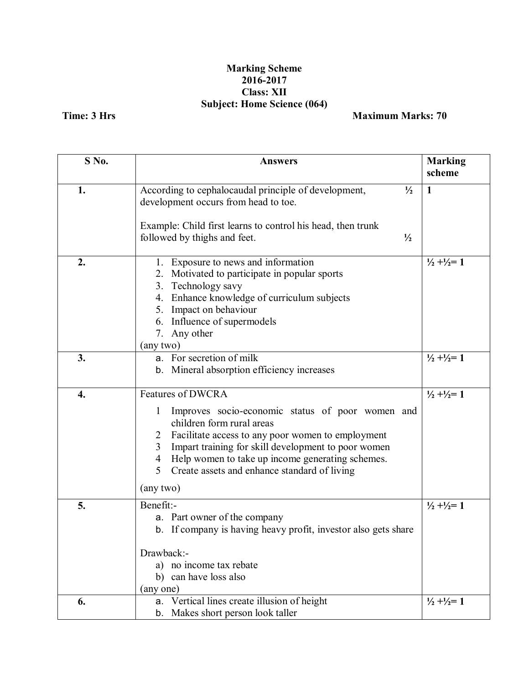## **Marking Scheme 2016-2017 Class: XII Subject: Home Science (064)**

**Time: 3 Hrs Maximum Marks: 70** 

| S No. | <b>Answers</b>                                                                                                                                                                                                                                                                                                         | <b>Marking</b><br>scheme        |
|-------|------------------------------------------------------------------------------------------------------------------------------------------------------------------------------------------------------------------------------------------------------------------------------------------------------------------------|---------------------------------|
| 1.    | According to cephalocaudal principle of development,<br>$\frac{1}{2}$                                                                                                                                                                                                                                                  | $\mathbf{1}$                    |
|       | development occurs from head to toe.                                                                                                                                                                                                                                                                                   |                                 |
|       | Example: Child first learns to control his head, then trunk<br>followed by thighs and feet.<br>$\frac{1}{2}$                                                                                                                                                                                                           |                                 |
|       |                                                                                                                                                                                                                                                                                                                        |                                 |
| 2.    | 1. Exposure to news and information<br>Motivated to participate in popular sports<br>2.<br>3. Technology savy<br>4. Enhance knowledge of curriculum subjects<br>5. Impact on behaviour<br>6. Influence of supermodels<br>7. Any other<br>(any two)                                                                     | $\frac{1}{2} + \frac{1}{2} = 1$ |
| 3.    | a. For secretion of milk                                                                                                                                                                                                                                                                                               | $\frac{1}{2} + \frac{1}{2} = 1$ |
|       | b. Mineral absorption efficiency increases                                                                                                                                                                                                                                                                             |                                 |
| 4.    | <b>Features of DWCRA</b>                                                                                                                                                                                                                                                                                               | $\frac{1}{2} + \frac{1}{2} = 1$ |
|       | Improves socio-economic status of poor women and<br>1<br>children form rural areas<br>Facilitate access to any poor women to employment<br>2<br>Impart training for skill development to poor women<br>3<br>Help women to take up income generating schemes.<br>4<br>5<br>Create assets and enhance standard of living |                                 |
|       | (any two)                                                                                                                                                                                                                                                                                                              |                                 |
| 5.    | Benefit:-<br>a. Part owner of the company<br>b. If company is having heavy profit, investor also gets share                                                                                                                                                                                                            | $\frac{1}{2} + \frac{1}{2} = 1$ |
|       | Drawback:-                                                                                                                                                                                                                                                                                                             |                                 |
|       | a) no income tax rebate<br>b) can have loss also                                                                                                                                                                                                                                                                       |                                 |
|       | (any one)                                                                                                                                                                                                                                                                                                              |                                 |
| 6.    | a. Vertical lines create illusion of height<br>b. Makes short person look taller                                                                                                                                                                                                                                       | $\frac{1}{2} + \frac{1}{2} = 1$ |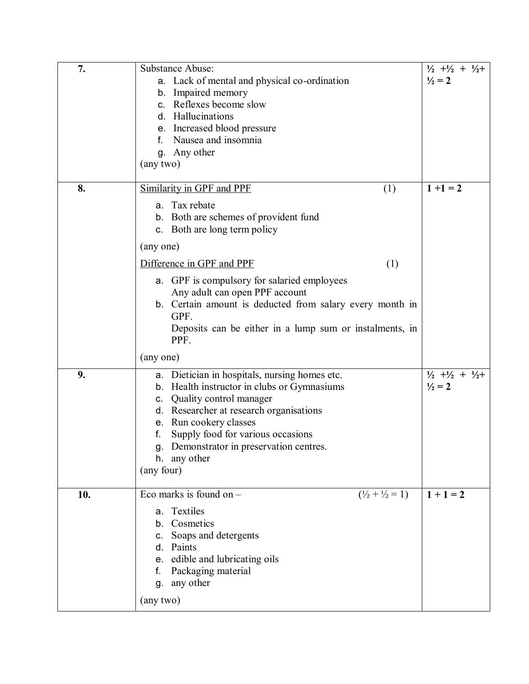| 7.  | Substance Abuse:<br>a. Lack of mental and physical co-ordination<br>b. Impaired memory<br>c. Reflexes become slow<br>d. Hallucinations<br>e. Increased blood pressure<br>Nausea and insomnia<br>g. Any other<br>(any two)                                                                                            | $\frac{1}{2}$ + $\frac{1}{2}$ + $\frac{1}{2}$ +<br>$\frac{1}{2} = 2$ |
|-----|----------------------------------------------------------------------------------------------------------------------------------------------------------------------------------------------------------------------------------------------------------------------------------------------------------------------|----------------------------------------------------------------------|
| 8.  | Similarity in GPF and PPF<br>(1)<br>a. Tax rebate<br>b. Both are schemes of provident fund<br>c. Both are long term policy<br>(any one)<br>Difference in GPF and PPF<br>(1)                                                                                                                                          | $1 + 1 = 2$                                                          |
|     | a. GPF is compulsory for salaried employees<br>Any adult can open PPF account<br>b. Certain amount is deducted from salary every month in<br>GPF.<br>Deposits can be either in a lump sum or instalments, in<br>PPF.<br>(any one)                                                                                    |                                                                      |
| 9.  | a. Dietician in hospitals, nursing homes etc.<br>b. Health instructor in clubs or Gymnasiums<br>c. Quality control manager<br>d. Researcher at research organisations<br>e. Run cookery classes<br>Supply food for various occasions<br>f.<br>g. Demonstrator in preservation centres.<br>h. any other<br>(any four) | $\frac{1}{2}$ + $\frac{1}{2}$ + $\frac{1}{2}$ +<br>$\frac{1}{2} = 2$ |
| 10. | Eco marks is found on $-$<br>$(\frac{1}{2} + \frac{1}{2} = 1)$<br>a. Textiles<br>b. Cosmetics<br>c. Soaps and detergents<br>d. Paints<br>e. edible and lubricating oils<br>f. Packaging material<br>g. any other<br>(any two)                                                                                        | $1 + 1 = 2$                                                          |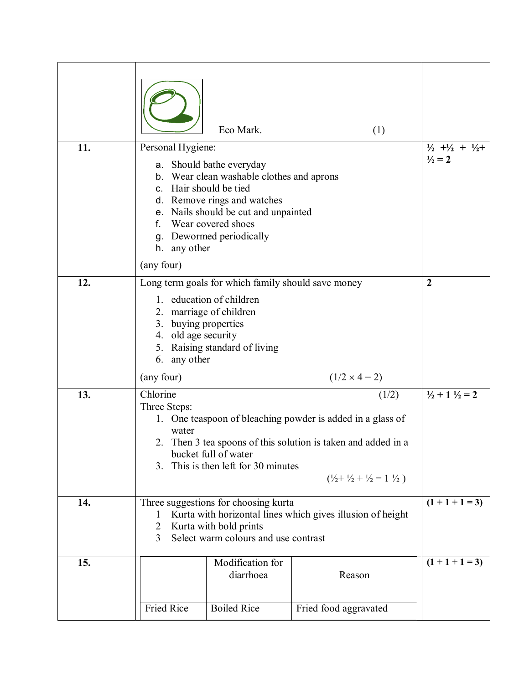| 11. | Personal Hygiene:<br>c. Hair should be tied                 | Eco Mark.<br>a. Should bathe everyday<br>b. Wear clean washable clothes and aprons<br>d. Remove rings and watches                          | (1)                                                                                                                                                                                                 | $\frac{1}{2}$ + $\frac{1}{2}$ + $\frac{1}{2}$ +<br>$\frac{1}{2} = 2$ |
|-----|-------------------------------------------------------------|--------------------------------------------------------------------------------------------------------------------------------------------|-----------------------------------------------------------------------------------------------------------------------------------------------------------------------------------------------------|----------------------------------------------------------------------|
|     | f.<br>h. any other<br>(any four)                            | e. Nails should be cut and unpainted<br>Wear covered shoes<br>g. Dewormed periodically                                                     |                                                                                                                                                                                                     |                                                                      |
| 12. | 3. buying properties<br>4. old age security<br>6. any other | Long term goals for which family should save money<br>1. education of children<br>2. marriage of children<br>5. Raising standard of living |                                                                                                                                                                                                     | $\overline{2}$                                                       |
|     | (any four)                                                  |                                                                                                                                            | $(1/2 \times 4 = 2)$                                                                                                                                                                                |                                                                      |
| 13. | Chlorine<br>Three Steps:<br>water<br>3.                     | bucket full of water<br>This is then left for 30 minutes                                                                                   | (1/2)<br>1. One teaspoon of bleaching powder is added in a glass of<br>2. Then 3 tea spoons of this solution is taken and added in a<br>$(\frac{1}{2} + \frac{1}{2} + \frac{1}{2} = 1 \frac{1}{2})$ | $\frac{1}{2} + 1 \frac{1}{2} = 2$                                    |
| 14. | 1<br>2<br>3                                                 | Three suggestions for choosing kurta<br>Kurta with bold prints<br>Select warm colours and use contrast                                     | Kurta with horizontal lines which gives illusion of height                                                                                                                                          | $(1 + 1 + 1 = 3)$                                                    |
| 15. | <b>Fried Rice</b>                                           | Modification for<br>diarrhoea<br><b>Boiled Rice</b>                                                                                        | Reason<br>Fried food aggravated                                                                                                                                                                     | $(1 + 1 + 1 = 3)$                                                    |
|     |                                                             |                                                                                                                                            |                                                                                                                                                                                                     |                                                                      |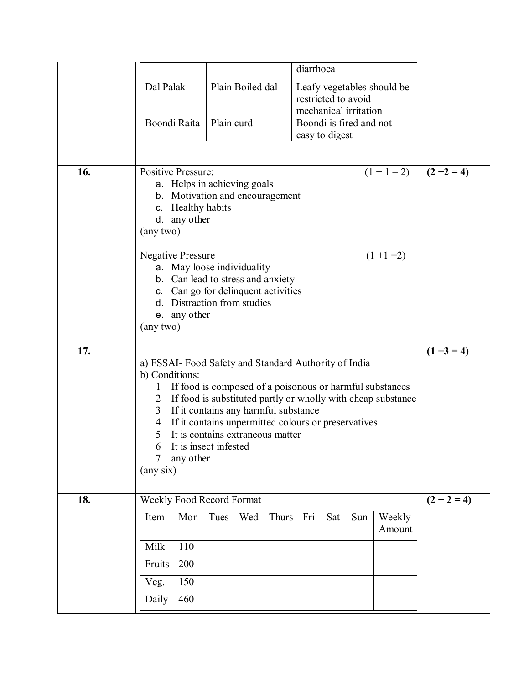|     |                                                                          |            |                                                     |       | diarrhoea      |     |                         |                                                              |               |
|-----|--------------------------------------------------------------------------|------------|-----------------------------------------------------|-------|----------------|-----|-------------------------|--------------------------------------------------------------|---------------|
|     | Dal Palak                                                                |            | Plain Boiled dal                                    |       |                |     | restricted to avoid     | Leafy vegetables should be                                   |               |
|     |                                                                          |            |                                                     |       |                |     | mechanical irritation   |                                                              |               |
|     | Boondi Raita                                                             | Plain curd |                                                     |       |                |     | Boondi is fired and not |                                                              |               |
|     |                                                                          |            |                                                     |       | easy to digest |     |                         |                                                              |               |
|     |                                                                          |            |                                                     |       |                |     |                         |                                                              |               |
| 16. | <b>Positive Pressure:</b>                                                |            |                                                     |       |                |     |                         | $(1 + 1 = 2)$                                                | $(2 +2 = 4)$  |
|     | a. Helps in achieving goals<br>b. Motivation and encouragement           |            |                                                     |       |                |     |                         |                                                              |               |
|     | c. Healthy habits                                                        |            |                                                     |       |                |     |                         |                                                              |               |
|     | d. any other                                                             |            |                                                     |       |                |     |                         |                                                              |               |
|     | (any two)                                                                |            |                                                     |       |                |     |                         |                                                              |               |
|     | <b>Negative Pressure</b>                                                 |            |                                                     |       |                |     |                         | $(1 + 1 = 2)$                                                |               |
|     | a. May loose individuality                                               |            |                                                     |       |                |     |                         |                                                              |               |
|     | b. Can lead to stress and anxiety<br>c. Can go for delinquent activities |            |                                                     |       |                |     |                         |                                                              |               |
|     | d. Distraction from studies                                              |            |                                                     |       |                |     |                         |                                                              |               |
|     | e. any other                                                             |            |                                                     |       |                |     |                         |                                                              |               |
|     | (any two)                                                                |            |                                                     |       |                |     |                         |                                                              |               |
| 17. |                                                                          |            |                                                     |       |                |     |                         |                                                              | $(1 +3 = 4)$  |
|     | a) FSSAI- Food Safety and Standard Authority of India<br>b) Conditions:  |            |                                                     |       |                |     |                         |                                                              |               |
|     |                                                                          |            |                                                     |       |                |     |                         | If food is composed of a poisonous or harmful substances     |               |
|     | 2                                                                        |            |                                                     |       |                |     |                         | If food is substituted partly or wholly with cheap substance |               |
|     | 3                                                                        |            | If it contains any harmful substance                |       |                |     |                         |                                                              |               |
|     | 4                                                                        |            | If it contains unpermitted colours or preservatives |       |                |     |                         |                                                              |               |
|     | 5<br>6 It is insect infested                                             |            | It is contains extraneous matter                    |       |                |     |                         |                                                              |               |
|     | any other<br>7                                                           |            |                                                     |       |                |     |                         |                                                              |               |
|     | $(\text{any six})$                                                       |            |                                                     |       |                |     |                         |                                                              |               |
|     |                                                                          |            |                                                     |       |                |     |                         |                                                              |               |
| 18. | Weekly Food Record Format                                                |            |                                                     |       |                |     |                         |                                                              | $(2 + 2 = 4)$ |
|     | Item<br>Mon                                                              | Tues       | Wed                                                 | Thurs | Fri            | Sat | Sun                     | Weekly<br>Amount                                             |               |
|     | Milk<br>110                                                              |            |                                                     |       |                |     |                         |                                                              |               |
|     | 200<br>Fruits                                                            |            |                                                     |       |                |     |                         |                                                              |               |
|     | 150<br>Veg.                                                              |            |                                                     |       |                |     |                         |                                                              |               |
|     |                                                                          |            |                                                     |       |                |     |                         |                                                              |               |
|     | Daily<br>460                                                             |            |                                                     |       |                |     |                         |                                                              |               |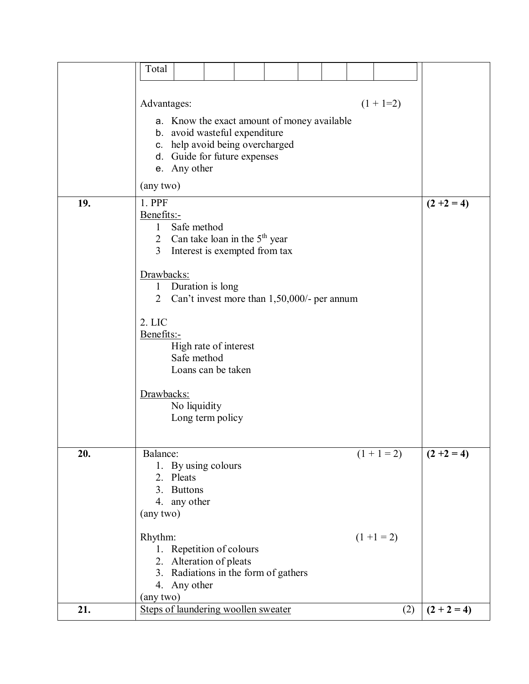|     | Total                               |                                              |  |                                             |  |               |               |
|-----|-------------------------------------|----------------------------------------------|--|---------------------------------------------|--|---------------|---------------|
|     |                                     |                                              |  |                                             |  |               |               |
|     |                                     |                                              |  |                                             |  |               |               |
|     | Advantages:                         |                                              |  |                                             |  | $(1 + 1=2)$   |               |
|     |                                     |                                              |  | a. Know the exact amount of money available |  |               |               |
|     |                                     | b. avoid wasteful expenditure                |  |                                             |  |               |               |
|     |                                     | c. help avoid being overcharged              |  |                                             |  |               |               |
|     |                                     | d. Guide for future expenses<br>e. Any other |  |                                             |  |               |               |
|     | (any two)                           |                                              |  |                                             |  |               |               |
| 19. | 1. PPF                              |                                              |  |                                             |  |               | $(2 + 2 = 4)$ |
|     | Benefits:-                          |                                              |  |                                             |  |               |               |
|     | $\mathbf{1}$                        | Safe method                                  |  |                                             |  |               |               |
|     |                                     | 2 Can take loan in the $5th$ year            |  |                                             |  |               |               |
|     |                                     | 3 Interest is exempted from tax              |  |                                             |  |               |               |
|     | Drawbacks:                          |                                              |  |                                             |  |               |               |
|     | $\mathbf{1}$                        | Duration is long                             |  |                                             |  |               |               |
|     | $\overline{2}$                      |                                              |  | Can't invest more than 1,50,000/- per annum |  |               |               |
|     | 2. LIC                              |                                              |  |                                             |  |               |               |
|     | Benefits:-                          |                                              |  |                                             |  |               |               |
|     |                                     | High rate of interest                        |  |                                             |  |               |               |
|     |                                     | Safe method                                  |  |                                             |  |               |               |
|     |                                     | Loans can be taken                           |  |                                             |  |               |               |
|     |                                     |                                              |  |                                             |  |               |               |
|     | Drawbacks:                          | No liquidity                                 |  |                                             |  |               |               |
|     |                                     | Long term policy                             |  |                                             |  |               |               |
|     |                                     |                                              |  |                                             |  |               |               |
| 20. | Balance:                            |                                              |  |                                             |  |               |               |
|     |                                     | 1. By using colours                          |  |                                             |  | $(1 + 1 = 2)$ | $(2 + 2 = 4)$ |
|     |                                     | 2. Pleats                                    |  |                                             |  |               |               |
|     | 3 <sub>1</sub>                      | <b>Buttons</b>                               |  |                                             |  |               |               |
|     |                                     | 4. any other                                 |  |                                             |  |               |               |
|     | (any two)                           |                                              |  |                                             |  |               |               |
|     | Rhythm:                             |                                              |  |                                             |  | $(1 + 1 = 2)$ |               |
|     |                                     | 1. Repetition of colours                     |  |                                             |  |               |               |
|     |                                     | 2. Alteration of pleats                      |  |                                             |  |               |               |
|     |                                     |                                              |  | 3. Radiations in the form of gathers        |  |               |               |
|     | (any two)                           | 4. Any other                                 |  |                                             |  |               |               |
| 21. | Steps of laundering woollen sweater |                                              |  |                                             |  | (2)           | $(2 + 2 = 4)$ |
|     |                                     |                                              |  |                                             |  |               |               |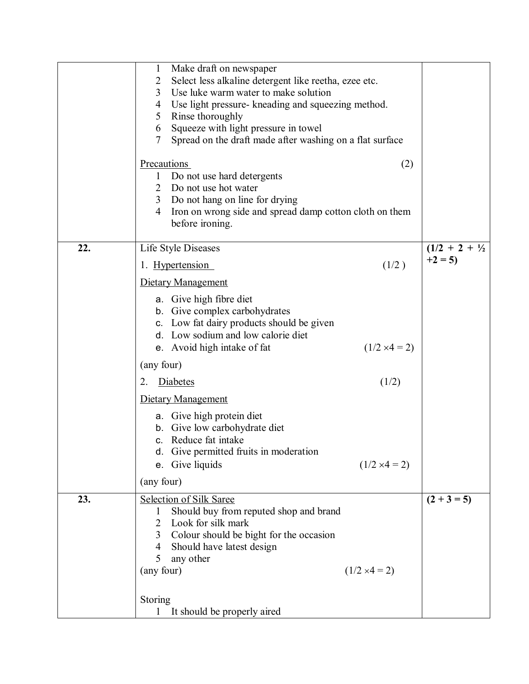|     | Make draft on newspaper<br>$\mathbf 1$<br>Select less alkaline detergent like reetha, ezee etc.<br>2<br>3<br>Use luke warm water to make solution<br>Use light pressure- kneading and squeezing method.<br>4<br>Rinse thoroughly<br>5 <sup>5</sup><br>Squeeze with light pressure in towel<br>6<br>Spread on the draft made after washing on a flat surface<br>7<br><b>Precautions</b><br>Do not use hard detergents<br>$\mathbf 1$<br>$\overline{2}$<br>Do not use hot water<br>Do not hang on line for drying<br>3 <sup>7</sup> | (2)                  |                           |
|-----|-----------------------------------------------------------------------------------------------------------------------------------------------------------------------------------------------------------------------------------------------------------------------------------------------------------------------------------------------------------------------------------------------------------------------------------------------------------------------------------------------------------------------------------|----------------------|---------------------------|
|     | Iron on wrong side and spread damp cotton cloth on them<br>$\overline{4}$<br>before ironing.                                                                                                                                                                                                                                                                                                                                                                                                                                      |                      |                           |
| 22. | Life Style Diseases                                                                                                                                                                                                                                                                                                                                                                                                                                                                                                               |                      | $(1/2 + 2 + \frac{1}{2})$ |
|     | 1. Hypertension                                                                                                                                                                                                                                                                                                                                                                                                                                                                                                                   | (1/2)                | $+2=5$                    |
|     | Dietary Management                                                                                                                                                                                                                                                                                                                                                                                                                                                                                                                |                      |                           |
|     | a. Give high fibre diet<br>b. Give complex carbohydrates<br>c. Low fat dairy products should be given<br>d. Low sodium and low calorie diet                                                                                                                                                                                                                                                                                                                                                                                       |                      |                           |
|     | e. Avoid high intake of fat                                                                                                                                                                                                                                                                                                                                                                                                                                                                                                       | $(1/2 \times 4 = 2)$ |                           |
|     | (any four)                                                                                                                                                                                                                                                                                                                                                                                                                                                                                                                        |                      |                           |
|     | Diabetes<br>2.                                                                                                                                                                                                                                                                                                                                                                                                                                                                                                                    | (1/2)                |                           |
|     | Dietary Management                                                                                                                                                                                                                                                                                                                                                                                                                                                                                                                |                      |                           |
|     | a. Give high protein diet<br>b. Give low carbohydrate diet<br>c. Reduce fat intake<br>d. Give permitted fruits in moderation<br>e. Give liquids                                                                                                                                                                                                                                                                                                                                                                                   | $(1/2 \times 4 = 2)$ |                           |
|     | (any four)                                                                                                                                                                                                                                                                                                                                                                                                                                                                                                                        |                      |                           |
| 23. | Selection of Silk Saree<br>Should buy from reputed shop and brand<br>$\mathbf{I}$<br>Look for silk mark<br>2<br>Colour should be bight for the occasion<br>3 <sup>7</sup><br>Should have latest design<br>4<br>5<br>any other                                                                                                                                                                                                                                                                                                     |                      | $(2 + 3 = 5)$             |
|     | (any four)                                                                                                                                                                                                                                                                                                                                                                                                                                                                                                                        | $(1/2 \times 4 = 2)$ |                           |
|     | Storing<br>It should be properly aired<br>$\mathbf{I}$                                                                                                                                                                                                                                                                                                                                                                                                                                                                            |                      |                           |